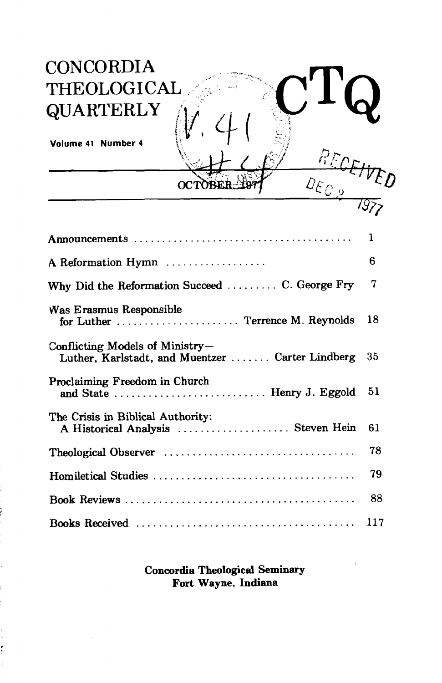

## **Concordia Theological Seminary** Fort Wayne, Indiana